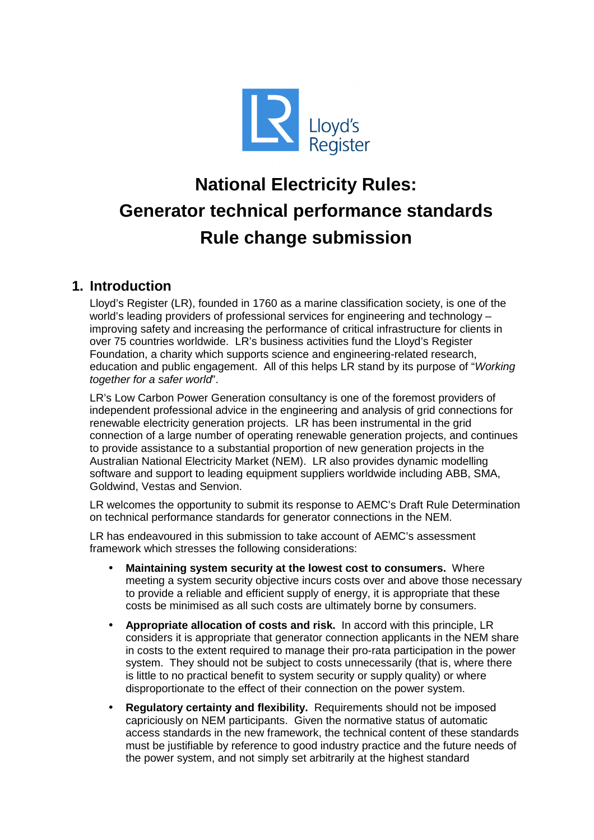

# **National Electricity Rules: Generator technical performance standards Rule change submission**

## **1. Introduction**

Lloyd's Register (LR), founded in 1760 as a marine classification society, is one of the world's leading providers of professional services for engineering and technology – improving safety and increasing the performance of critical infrastructure for clients in over 75 countries worldwide. LR's business activities fund the Lloyd's Register Foundation, a charity which supports science and engineering-related research, education and public engagement. All of this helps LR stand by its purpose of "Working together for a safer world".

LR's Low Carbon Power Generation consultancy is one of the foremost providers of independent professional advice in the engineering and analysis of grid connections for renewable electricity generation projects. LR has been instrumental in the grid connection of a large number of operating renewable generation projects, and continues to provide assistance to a substantial proportion of new generation projects in the Australian National Electricity Market (NEM). LR also provides dynamic modelling software and support to leading equipment suppliers worldwide including ABB, SMA, Goldwind, Vestas and Senvion.

LR welcomes the opportunity to submit its response to AEMC's Draft Rule Determination on technical performance standards for generator connections in the NEM.

LR has endeavoured in this submission to take account of AEMC's assessment framework which stresses the following considerations:

- **Maintaining system security at the lowest cost to consumers.** Where meeting a system security objective incurs costs over and above those necessary to provide a reliable and efficient supply of energy, it is appropriate that these costs be minimised as all such costs are ultimately borne by consumers.
- **Appropriate allocation of costs and risk.** In accord with this principle, LR considers it is appropriate that generator connection applicants in the NEM share in costs to the extent required to manage their pro-rata participation in the power system. They should not be subject to costs unnecessarily (that is, where there is little to no practical benefit to system security or supply quality) or where disproportionate to the effect of their connection on the power system.
- **Regulatory certainty and flexibility.** Requirements should not be imposed capriciously on NEM participants. Given the normative status of automatic access standards in the new framework, the technical content of these standards must be justifiable by reference to good industry practice and the future needs of the power system, and not simply set arbitrarily at the highest standard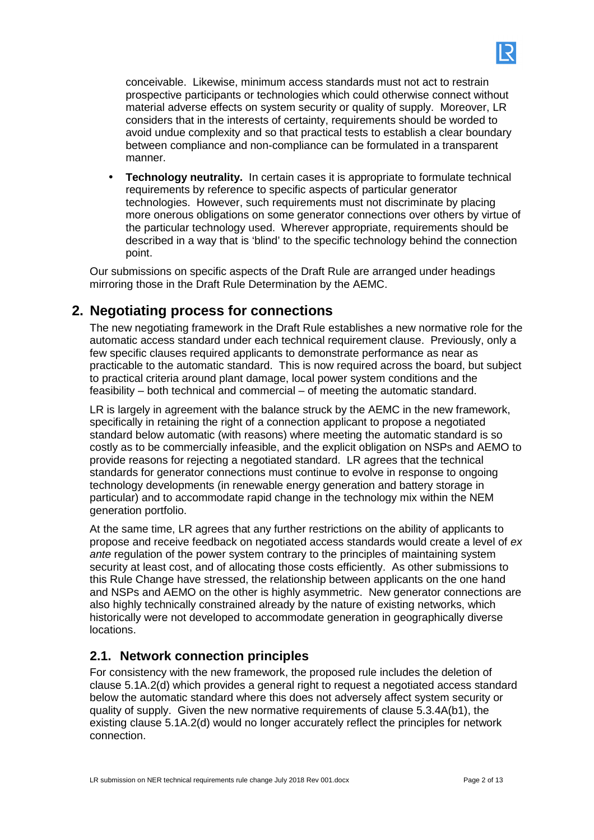conceivable. Likewise, minimum access standards must not act to restrain prospective participants or technologies which could otherwise connect without material adverse effects on system security or quality of supply. Moreover, LR considers that in the interests of certainty, requirements should be worded to avoid undue complexity and so that practical tests to establish a clear boundary between compliance and non-compliance can be formulated in a transparent manner.

• **Technology neutrality.** In certain cases it is appropriate to formulate technical requirements by reference to specific aspects of particular generator technologies. However, such requirements must not discriminate by placing more onerous obligations on some generator connections over others by virtue of the particular technology used. Wherever appropriate, requirements should be described in a way that is 'blind' to the specific technology behind the connection point.

Our submissions on specific aspects of the Draft Rule are arranged under headings mirroring those in the Draft Rule Determination by the AEMC.

## **2. Negotiating process for connections**

The new negotiating framework in the Draft Rule establishes a new normative role for the automatic access standard under each technical requirement clause. Previously, only a few specific clauses required applicants to demonstrate performance as near as practicable to the automatic standard. This is now required across the board, but subject to practical criteria around plant damage, local power system conditions and the feasibility – both technical and commercial – of meeting the automatic standard.

LR is largely in agreement with the balance struck by the AEMC in the new framework, specifically in retaining the right of a connection applicant to propose a negotiated standard below automatic (with reasons) where meeting the automatic standard is so costly as to be commercially infeasible, and the explicit obligation on NSPs and AEMO to provide reasons for rejecting a negotiated standard. LR agrees that the technical standards for generator connections must continue to evolve in response to ongoing technology developments (in renewable energy generation and battery storage in particular) and to accommodate rapid change in the technology mix within the NEM generation portfolio.

At the same time, LR agrees that any further restrictions on the ability of applicants to propose and receive feedback on negotiated access standards would create a level of ex ante regulation of the power system contrary to the principles of maintaining system security at least cost, and of allocating those costs efficiently. As other submissions to this Rule Change have stressed, the relationship between applicants on the one hand and NSPs and AEMO on the other is highly asymmetric. New generator connections are also highly technically constrained already by the nature of existing networks, which historically were not developed to accommodate generation in geographically diverse locations.

## **2.1. Network connection principles**

For consistency with the new framework, the proposed rule includes the deletion of clause 5.1A.2(d) which provides a general right to request a negotiated access standard below the automatic standard where this does not adversely affect system security or quality of supply. Given the new normative requirements of clause 5.3.4A(b1), the existing clause 5.1A.2(d) would no longer accurately reflect the principles for network connection.

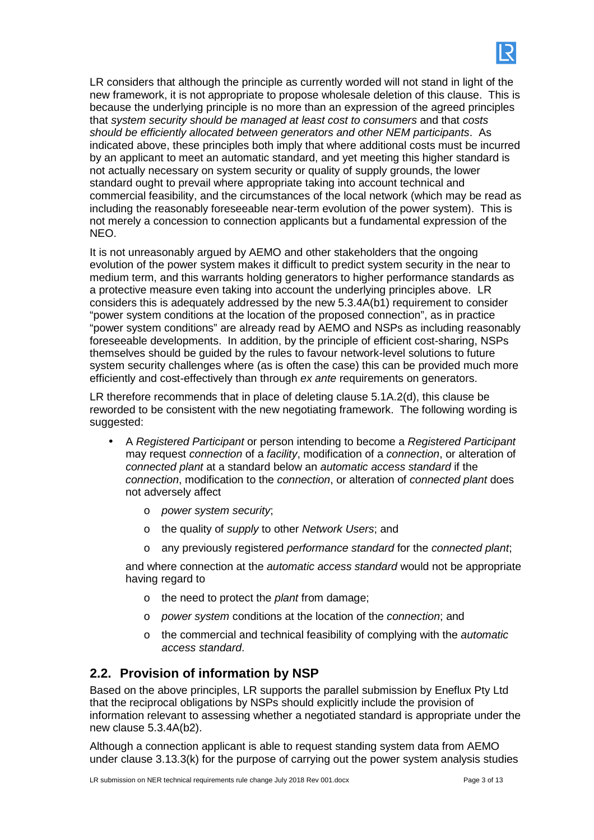

LR considers that although the principle as currently worded will not stand in light of the new framework, it is not appropriate to propose wholesale deletion of this clause. This is because the underlying principle is no more than an expression of the agreed principles that system security should be managed at least cost to consumers and that costs should be efficiently allocated between generators and other NEM participants. As indicated above, these principles both imply that where additional costs must be incurred by an applicant to meet an automatic standard, and yet meeting this higher standard is not actually necessary on system security or quality of supply grounds, the lower standard ought to prevail where appropriate taking into account technical and commercial feasibility, and the circumstances of the local network (which may be read as including the reasonably foreseeable near-term evolution of the power system). This is not merely a concession to connection applicants but a fundamental expression of the NEO.

It is not unreasonably argued by AEMO and other stakeholders that the ongoing evolution of the power system makes it difficult to predict system security in the near to medium term, and this warrants holding generators to higher performance standards as a protective measure even taking into account the underlying principles above. LR considers this is adequately addressed by the new 5.3.4A(b1) requirement to consider "power system conditions at the location of the proposed connection", as in practice "power system conditions" are already read by AEMO and NSPs as including reasonably foreseeable developments. In addition, by the principle of efficient cost-sharing, NSPs themselves should be guided by the rules to favour network-level solutions to future system security challenges where (as is often the case) this can be provided much more efficiently and cost-effectively than through ex ante requirements on generators.

LR therefore recommends that in place of deleting clause 5.1A.2(d), this clause be reworded to be consistent with the new negotiating framework. The following wording is suggested:

- A Registered Participant or person intending to become a Registered Participant may request connection of a facility, modification of a connection, or alteration of connected plant at a standard below an automatic access standard if the connection, modification to the connection, or alteration of connected plant does not adversely affect
	- o power system security;
	- o the quality of supply to other Network Users; and
	- $\circ$  any previously registered performance standard for the connected plant;

and where connection at the automatic access standard would not be appropriate having regard to

- $\circ$  the need to protect the *plant* from damage;
- o power system conditions at the location of the connection; and
- $\circ$  the commercial and technical feasibility of complying with the *automatic* access standard.

## **2.2. Provision of information by NSP**

Based on the above principles, LR supports the parallel submission by Eneflux Pty Ltd that the reciprocal obligations by NSPs should explicitly include the provision of information relevant to assessing whether a negotiated standard is appropriate under the new clause 5.3.4A(b2).

Although a connection applicant is able to request standing system data from AEMO under clause 3.13.3(k) for the purpose of carrying out the power system analysis studies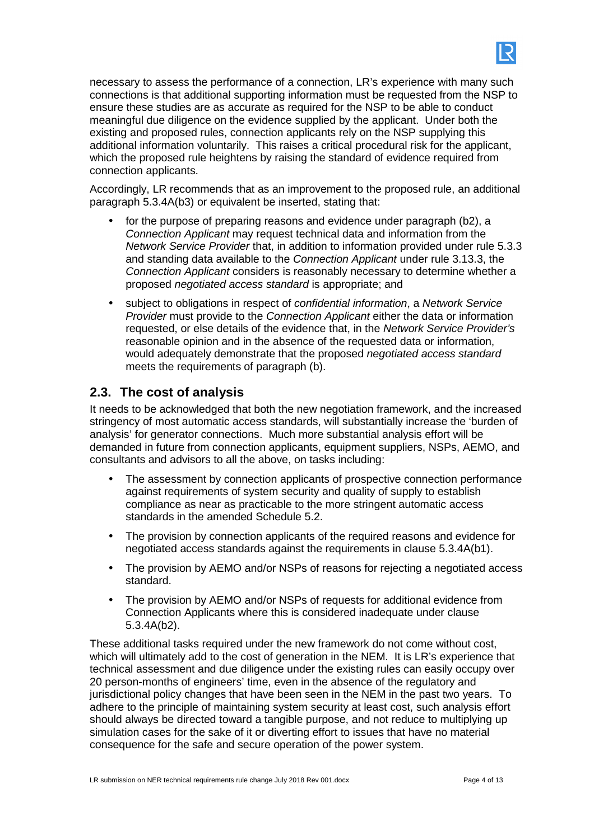

necessary to assess the performance of a connection, LR's experience with many such connections is that additional supporting information must be requested from the NSP to ensure these studies are as accurate as required for the NSP to be able to conduct meaningful due diligence on the evidence supplied by the applicant. Under both the existing and proposed rules, connection applicants rely on the NSP supplying this additional information voluntarily. This raises a critical procedural risk for the applicant, which the proposed rule heightens by raising the standard of evidence required from connection applicants.

Accordingly, LR recommends that as an improvement to the proposed rule, an additional paragraph 5.3.4A(b3) or equivalent be inserted, stating that:

- for the purpose of preparing reasons and evidence under paragraph (b2), a Connection Applicant may request technical data and information from the Network Service Provider that, in addition to information provided under rule 5.3.3 and standing data available to the Connection Applicant under rule 3.13.3, the Connection Applicant considers is reasonably necessary to determine whether a proposed negotiated access standard is appropriate; and
- subject to obligations in respect of *confidential information*, a Network Service Provider must provide to the Connection Applicant either the data or information requested, or else details of the evidence that, in the Network Service Provider's reasonable opinion and in the absence of the requested data or information, would adequately demonstrate that the proposed negotiated access standard meets the requirements of paragraph (b).

#### **2.3. The cost of analysis**

It needs to be acknowledged that both the new negotiation framework, and the increased stringency of most automatic access standards, will substantially increase the 'burden of analysis' for generator connections. Much more substantial analysis effort will be demanded in future from connection applicants, equipment suppliers, NSPs, AEMO, and consultants and advisors to all the above, on tasks including:

- The assessment by connection applicants of prospective connection performance against requirements of system security and quality of supply to establish compliance as near as practicable to the more stringent automatic access standards in the amended Schedule 5.2.
- The provision by connection applicants of the required reasons and evidence for negotiated access standards against the requirements in clause 5.3.4A(b1).
- The provision by AEMO and/or NSPs of reasons for rejecting a negotiated access standard.
- The provision by AEMO and/or NSPs of requests for additional evidence from Connection Applicants where this is considered inadequate under clause 5.3.4A(b2).

These additional tasks required under the new framework do not come without cost, which will ultimately add to the cost of generation in the NEM. It is LR's experience that technical assessment and due diligence under the existing rules can easily occupy over 20 person-months of engineers' time, even in the absence of the regulatory and jurisdictional policy changes that have been seen in the NEM in the past two years. To adhere to the principle of maintaining system security at least cost, such analysis effort should always be directed toward a tangible purpose, and not reduce to multiplying up simulation cases for the sake of it or diverting effort to issues that have no material consequence for the safe and secure operation of the power system.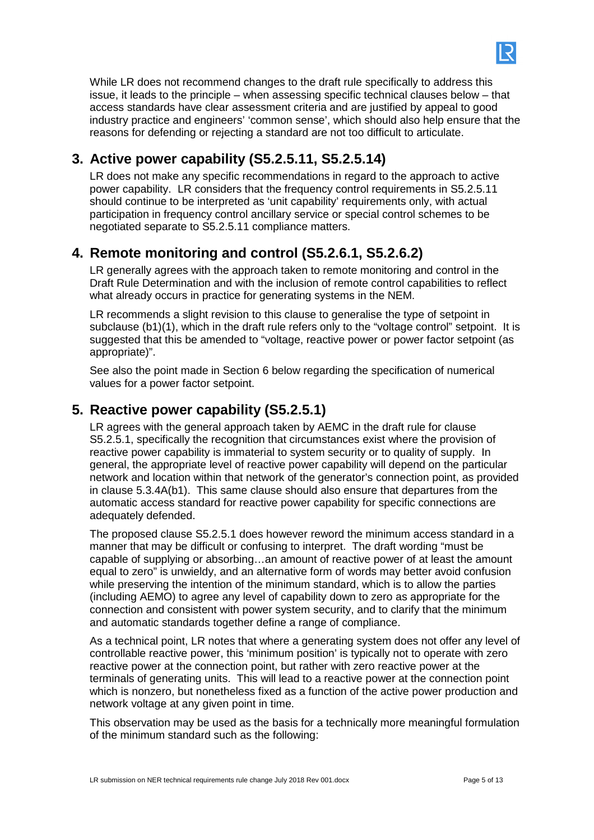

While LR does not recommend changes to the draft rule specifically to address this issue, it leads to the principle – when assessing specific technical clauses below – that access standards have clear assessment criteria and are justified by appeal to good industry practice and engineers' 'common sense', which should also help ensure that the reasons for defending or rejecting a standard are not too difficult to articulate.

## **3. Active power capability (S5.2.5.11, S5.2.5.14)**

LR does not make any specific recommendations in regard to the approach to active power capability. LR considers that the frequency control requirements in S5.2.5.11 should continue to be interpreted as 'unit capability' requirements only, with actual participation in frequency control ancillary service or special control schemes to be negotiated separate to S5.2.5.11 compliance matters.

# **4. Remote monitoring and control (S5.2.6.1, S5.2.6.2)**

LR generally agrees with the approach taken to remote monitoring and control in the Draft Rule Determination and with the inclusion of remote control capabilities to reflect what already occurs in practice for generating systems in the NEM.

LR recommends a slight revision to this clause to generalise the type of setpoint in subclause (b1)(1), which in the draft rule refers only to the "voltage control" setpoint. It is suggested that this be amended to "voltage, reactive power or power factor setpoint (as appropriate)".

See also the point made in Section 6 below regarding the specification of numerical values for a power factor setpoint.

# **5. Reactive power capability (S5.2.5.1)**

LR agrees with the general approach taken by AEMC in the draft rule for clause S5.2.5.1, specifically the recognition that circumstances exist where the provision of reactive power capability is immaterial to system security or to quality of supply. In general, the appropriate level of reactive power capability will depend on the particular network and location within that network of the generator's connection point, as provided in clause 5.3.4A(b1). This same clause should also ensure that departures from the automatic access standard for reactive power capability for specific connections are adequately defended.

The proposed clause S5.2.5.1 does however reword the minimum access standard in a manner that may be difficult or confusing to interpret. The draft wording "must be capable of supplying or absorbing…an amount of reactive power of at least the amount equal to zero" is unwieldy, and an alternative form of words may better avoid confusion while preserving the intention of the minimum standard, which is to allow the parties (including AEMO) to agree any level of capability down to zero as appropriate for the connection and consistent with power system security, and to clarify that the minimum and automatic standards together define a range of compliance.

As a technical point, LR notes that where a generating system does not offer any level of controllable reactive power, this 'minimum position' is typically not to operate with zero reactive power at the connection point, but rather with zero reactive power at the terminals of generating units. This will lead to a reactive power at the connection point which is nonzero, but nonetheless fixed as a function of the active power production and network voltage at any given point in time.

This observation may be used as the basis for a technically more meaningful formulation of the minimum standard such as the following: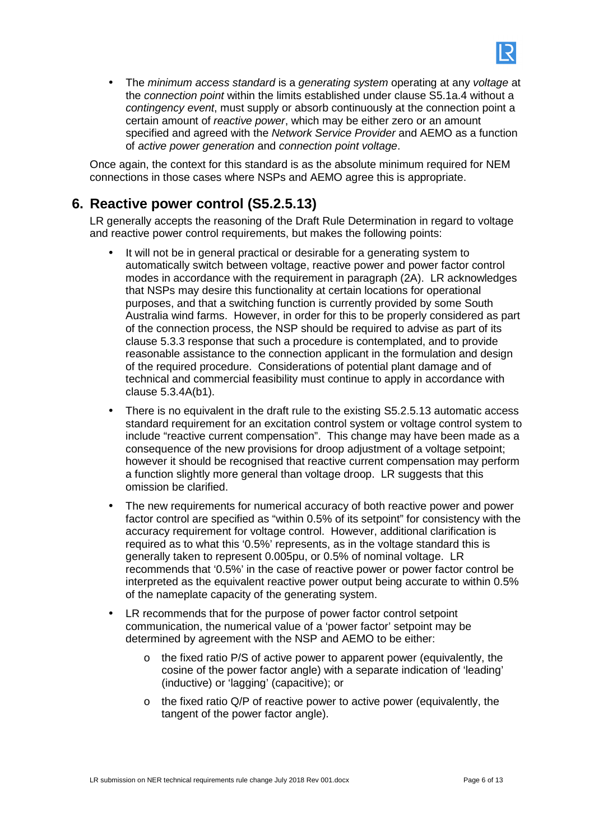

• The minimum access standard is a generating system operating at any voltage at the connection point within the limits established under clause S5.1a.4 without a contingency event, must supply or absorb continuously at the connection point a certain amount of reactive power, which may be either zero or an amount specified and agreed with the Network Service Provider and AEMO as a function of active power generation and connection point voltage.

Once again, the context for this standard is as the absolute minimum required for NEM connections in those cases where NSPs and AEMO agree this is appropriate.

## **6. Reactive power control (S5.2.5.13)**

LR generally accepts the reasoning of the Draft Rule Determination in regard to voltage and reactive power control requirements, but makes the following points:

- It will not be in general practical or desirable for a generating system to automatically switch between voltage, reactive power and power factor control modes in accordance with the requirement in paragraph (2A). LR acknowledges that NSPs may desire this functionality at certain locations for operational purposes, and that a switching function is currently provided by some South Australia wind farms. However, in order for this to be properly considered as part of the connection process, the NSP should be required to advise as part of its clause 5.3.3 response that such a procedure is contemplated, and to provide reasonable assistance to the connection applicant in the formulation and design of the required procedure. Considerations of potential plant damage and of technical and commercial feasibility must continue to apply in accordance with clause 5.3.4A(b1).
- There is no equivalent in the draft rule to the existing S5.2.5.13 automatic access standard requirement for an excitation control system or voltage control system to include "reactive current compensation". This change may have been made as a consequence of the new provisions for droop adjustment of a voltage setpoint; however it should be recognised that reactive current compensation may perform a function slightly more general than voltage droop. LR suggests that this omission be clarified.
- The new requirements for numerical accuracy of both reactive power and power factor control are specified as "within 0.5% of its setpoint" for consistency with the accuracy requirement for voltage control. However, additional clarification is required as to what this '0.5%' represents, as in the voltage standard this is generally taken to represent 0.005pu, or 0.5% of nominal voltage. LR recommends that '0.5%' in the case of reactive power or power factor control be interpreted as the equivalent reactive power output being accurate to within 0.5% of the nameplate capacity of the generating system.
- LR recommends that for the purpose of power factor control setpoint communication, the numerical value of a 'power factor' setpoint may be determined by agreement with the NSP and AEMO to be either:
	- $\circ$  the fixed ratio P/S of active power to apparent power (equivalently, the cosine of the power factor angle) with a separate indication of 'leading' (inductive) or 'lagging' (capacitive); or
	- o the fixed ratio Q/P of reactive power to active power (equivalently, the tangent of the power factor angle).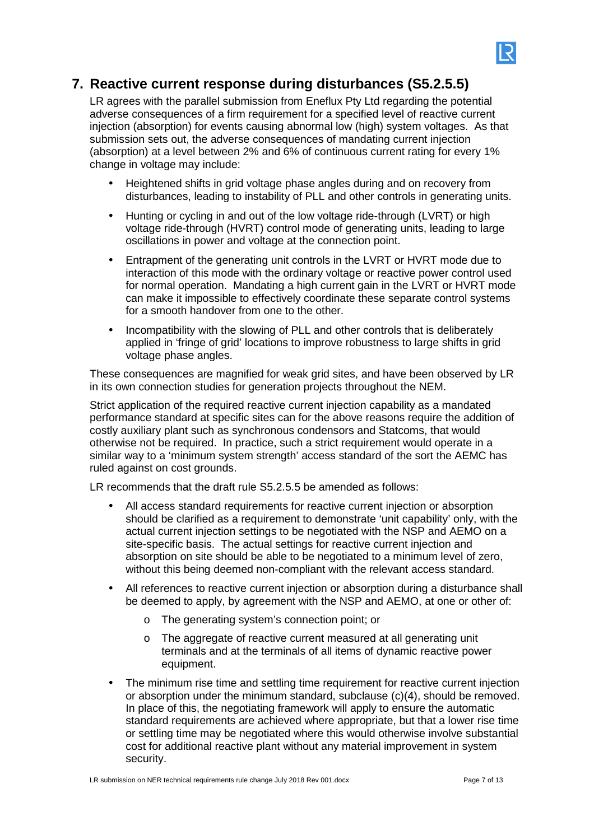

#### **7. Reactive current response during disturbances (S5.2.5.5)**

LR agrees with the parallel submission from Eneflux Pty Ltd regarding the potential adverse consequences of a firm requirement for a specified level of reactive current injection (absorption) for events causing abnormal low (high) system voltages. As that submission sets out, the adverse consequences of mandating current injection (absorption) at a level between 2% and 6% of continuous current rating for every 1% change in voltage may include:

- Heightened shifts in grid voltage phase angles during and on recovery from disturbances, leading to instability of PLL and other controls in generating units.
- Hunting or cycling in and out of the low voltage ride-through (LVRT) or high voltage ride-through (HVRT) control mode of generating units, leading to large oscillations in power and voltage at the connection point.
- Entrapment of the generating unit controls in the LVRT or HVRT mode due to interaction of this mode with the ordinary voltage or reactive power control used for normal operation. Mandating a high current gain in the LVRT or HVRT mode can make it impossible to effectively coordinate these separate control systems for a smooth handover from one to the other.
- Incompatibility with the slowing of PLL and other controls that is deliberately applied in 'fringe of grid' locations to improve robustness to large shifts in grid voltage phase angles.

These consequences are magnified for weak grid sites, and have been observed by LR in its own connection studies for generation projects throughout the NEM.

Strict application of the required reactive current injection capability as a mandated performance standard at specific sites can for the above reasons require the addition of costly auxiliary plant such as synchronous condensors and Statcoms, that would otherwise not be required. In practice, such a strict requirement would operate in a similar way to a 'minimum system strength' access standard of the sort the AEMC has ruled against on cost grounds.

LR recommends that the draft rule S5.2.5.5 be amended as follows:

- All access standard requirements for reactive current injection or absorption should be clarified as a requirement to demonstrate 'unit capability' only, with the actual current injection settings to be negotiated with the NSP and AEMO on a site-specific basis. The actual settings for reactive current injection and absorption on site should be able to be negotiated to a minimum level of zero, without this being deemed non-compliant with the relevant access standard.
- All references to reactive current injection or absorption during a disturbance shall be deemed to apply, by agreement with the NSP and AEMO, at one or other of:
	- o The generating system's connection point; or
	- o The aggregate of reactive current measured at all generating unit terminals and at the terminals of all items of dynamic reactive power equipment.
- The minimum rise time and settling time requirement for reactive current injection or absorption under the minimum standard, subclause (c)(4), should be removed. In place of this, the negotiating framework will apply to ensure the automatic standard requirements are achieved where appropriate, but that a lower rise time or settling time may be negotiated where this would otherwise involve substantial cost for additional reactive plant without any material improvement in system security.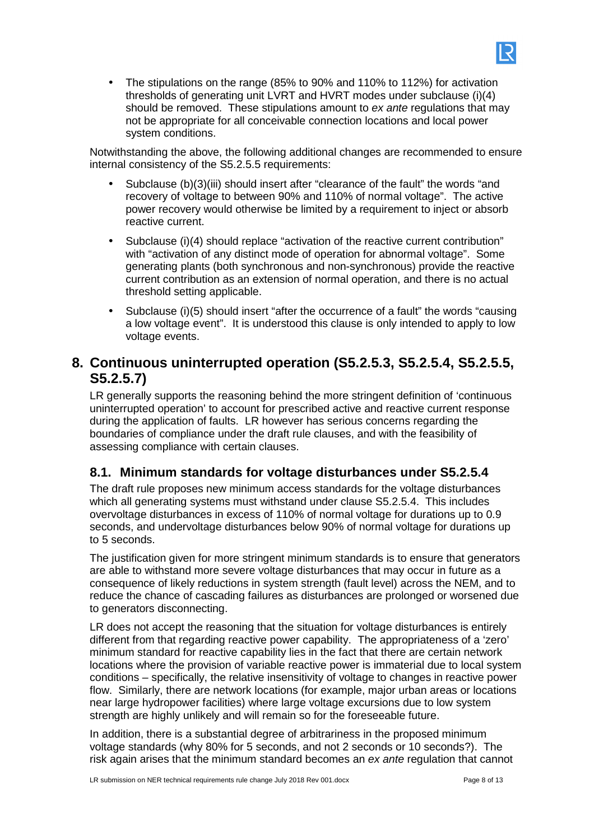• The stipulations on the range (85% to 90% and 110% to 112%) for activation thresholds of generating unit LVRT and HVRT modes under subclause (i)(4) should be removed. These stipulations amount to ex ante regulations that may not be appropriate for all conceivable connection locations and local power system conditions.

Notwithstanding the above, the following additional changes are recommended to ensure internal consistency of the S5.2.5.5 requirements:

- Subclause (b)(3)(iii) should insert after "clearance of the fault" the words "and recovery of voltage to between 90% and 110% of normal voltage". The active power recovery would otherwise be limited by a requirement to inject or absorb reactive current.
- Subclause (i)(4) should replace "activation of the reactive current contribution" with "activation of any distinct mode of operation for abnormal voltage". Some generating plants (both synchronous and non-synchronous) provide the reactive current contribution as an extension of normal operation, and there is no actual threshold setting applicable.
- Subclause (i)(5) should insert "after the occurrence of a fault" the words "causing a low voltage event". It is understood this clause is only intended to apply to low voltage events.

## **8. Continuous uninterrupted operation (S5.2.5.3, S5.2.5.4, S5.2.5.5, S5.2.5.7)**

LR generally supports the reasoning behind the more stringent definition of 'continuous uninterrupted operation' to account for prescribed active and reactive current response during the application of faults. LR however has serious concerns regarding the boundaries of compliance under the draft rule clauses, and with the feasibility of assessing compliance with certain clauses.

## **8.1. Minimum standards for voltage disturbances under S5.2.5.4**

The draft rule proposes new minimum access standards for the voltage disturbances which all generating systems must withstand under clause S5.2.5.4. This includes overvoltage disturbances in excess of 110% of normal voltage for durations up to 0.9 seconds, and undervoltage disturbances below 90% of normal voltage for durations up to 5 seconds.

The justification given for more stringent minimum standards is to ensure that generators are able to withstand more severe voltage disturbances that may occur in future as a consequence of likely reductions in system strength (fault level) across the NEM, and to reduce the chance of cascading failures as disturbances are prolonged or worsened due to generators disconnecting.

LR does not accept the reasoning that the situation for voltage disturbances is entirely different from that regarding reactive power capability. The appropriateness of a 'zero' minimum standard for reactive capability lies in the fact that there are certain network locations where the provision of variable reactive power is immaterial due to local system conditions – specifically, the relative insensitivity of voltage to changes in reactive power flow. Similarly, there are network locations (for example, major urban areas or locations near large hydropower facilities) where large voltage excursions due to low system strength are highly unlikely and will remain so for the foreseeable future.

In addition, there is a substantial degree of arbitrariness in the proposed minimum voltage standards (why 80% for 5 seconds, and not 2 seconds or 10 seconds?). The risk again arises that the minimum standard becomes an ex ante regulation that cannot

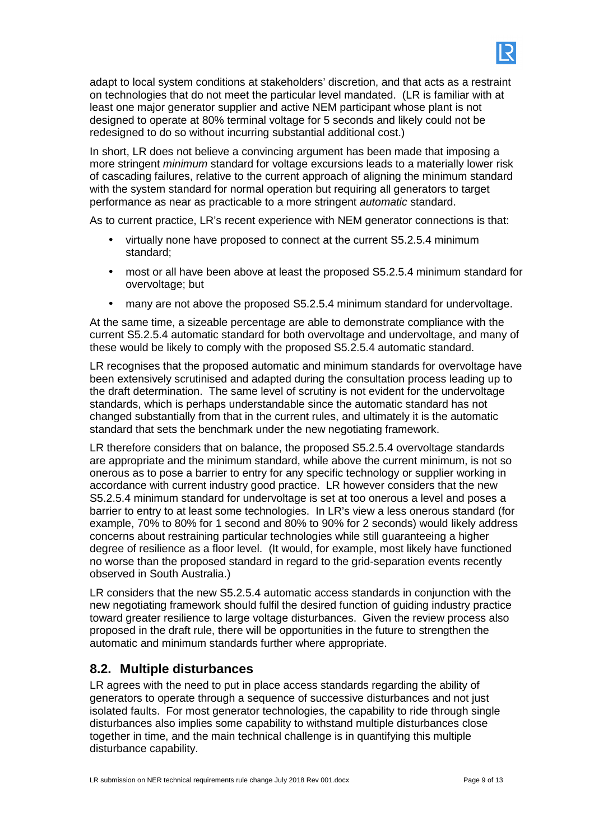

adapt to local system conditions at stakeholders' discretion, and that acts as a restraint on technologies that do not meet the particular level mandated. (LR is familiar with at least one major generator supplier and active NEM participant whose plant is not designed to operate at 80% terminal voltage for 5 seconds and likely could not be redesigned to do so without incurring substantial additional cost.)

In short, LR does not believe a convincing argument has been made that imposing a more stringent *minimum* standard for voltage excursions leads to a materially lower risk of cascading failures, relative to the current approach of aligning the minimum standard with the system standard for normal operation but requiring all generators to target performance as near as practicable to a more stringent automatic standard.

As to current practice, LR's recent experience with NEM generator connections is that:

- virtually none have proposed to connect at the current S5.2.5.4 minimum standard;
- most or all have been above at least the proposed S5.2.5.4 minimum standard for overvoltage; but
- many are not above the proposed S5.2.5.4 minimum standard for undervoltage.

At the same time, a sizeable percentage are able to demonstrate compliance with the current S5.2.5.4 automatic standard for both overvoltage and undervoltage, and many of these would be likely to comply with the proposed S5.2.5.4 automatic standard.

LR recognises that the proposed automatic and minimum standards for overvoltage have been extensively scrutinised and adapted during the consultation process leading up to the draft determination. The same level of scrutiny is not evident for the undervoltage standards, which is perhaps understandable since the automatic standard has not changed substantially from that in the current rules, and ultimately it is the automatic standard that sets the benchmark under the new negotiating framework.

LR therefore considers that on balance, the proposed S5.2.5.4 overvoltage standards are appropriate and the minimum standard, while above the current minimum, is not so onerous as to pose a barrier to entry for any specific technology or supplier working in accordance with current industry good practice. LR however considers that the new S5.2.5.4 minimum standard for undervoltage is set at too onerous a level and poses a barrier to entry to at least some technologies. In LR's view a less onerous standard (for example, 70% to 80% for 1 second and 80% to 90% for 2 seconds) would likely address concerns about restraining particular technologies while still guaranteeing a higher degree of resilience as a floor level. (It would, for example, most likely have functioned no worse than the proposed standard in regard to the grid-separation events recently observed in South Australia.)

LR considers that the new S5.2.5.4 automatic access standards in conjunction with the new negotiating framework should fulfil the desired function of guiding industry practice toward greater resilience to large voltage disturbances. Given the review process also proposed in the draft rule, there will be opportunities in the future to strengthen the automatic and minimum standards further where appropriate.

#### **8.2. Multiple disturbances**

LR agrees with the need to put in place access standards regarding the ability of generators to operate through a sequence of successive disturbances and not just isolated faults. For most generator technologies, the capability to ride through single disturbances also implies some capability to withstand multiple disturbances close together in time, and the main technical challenge is in quantifying this multiple disturbance capability.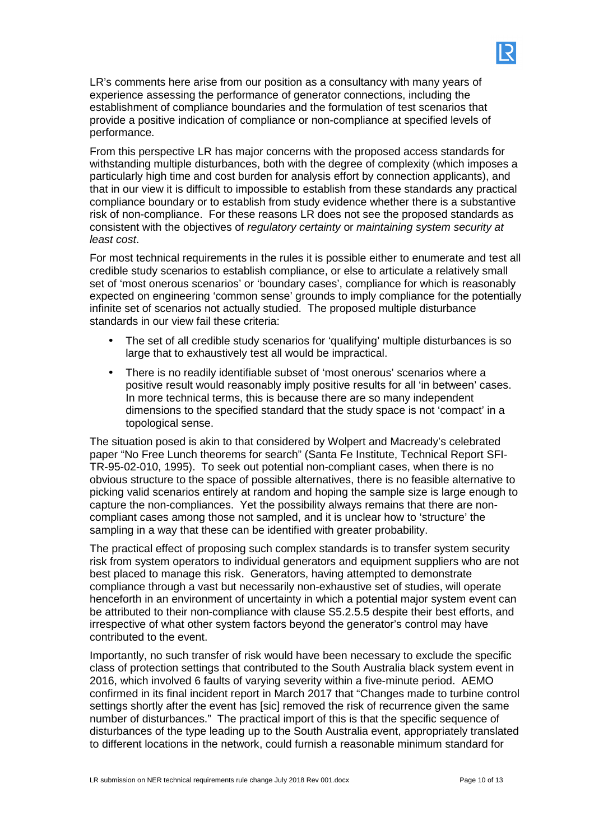LR's comments here arise from our position as a consultancy with many years of experience assessing the performance of generator connections, including the establishment of compliance boundaries and the formulation of test scenarios that provide a positive indication of compliance or non-compliance at specified levels of performance.

From this perspective LR has major concerns with the proposed access standards for withstanding multiple disturbances, both with the degree of complexity (which imposes a particularly high time and cost burden for analysis effort by connection applicants), and that in our view it is difficult to impossible to establish from these standards any practical compliance boundary or to establish from study evidence whether there is a substantive risk of non-compliance. For these reasons LR does not see the proposed standards as consistent with the objectives of regulatory certainty or maintaining system security at least cost.

For most technical requirements in the rules it is possible either to enumerate and test all credible study scenarios to establish compliance, or else to articulate a relatively small set of 'most onerous scenarios' or 'boundary cases', compliance for which is reasonably expected on engineering 'common sense' grounds to imply compliance for the potentially infinite set of scenarios not actually studied. The proposed multiple disturbance standards in our view fail these criteria:

- The set of all credible study scenarios for 'qualifying' multiple disturbances is so large that to exhaustively test all would be impractical.
- There is no readily identifiable subset of 'most onerous' scenarios where a positive result would reasonably imply positive results for all 'in between' cases. In more technical terms, this is because there are so many independent dimensions to the specified standard that the study space is not 'compact' in a topological sense.

The situation posed is akin to that considered by Wolpert and Macready's celebrated paper "No Free Lunch theorems for search" (Santa Fe Institute, Technical Report SFI-TR-95-02-010, 1995). To seek out potential non-compliant cases, when there is no obvious structure to the space of possible alternatives, there is no feasible alternative to picking valid scenarios entirely at random and hoping the sample size is large enough to capture the non-compliances. Yet the possibility always remains that there are noncompliant cases among those not sampled, and it is unclear how to 'structure' the sampling in a way that these can be identified with greater probability.

The practical effect of proposing such complex standards is to transfer system security risk from system operators to individual generators and equipment suppliers who are not best placed to manage this risk. Generators, having attempted to demonstrate compliance through a vast but necessarily non-exhaustive set of studies, will operate henceforth in an environment of uncertainty in which a potential major system event can be attributed to their non-compliance with clause S5.2.5.5 despite their best efforts, and irrespective of what other system factors beyond the generator's control may have contributed to the event.

Importantly, no such transfer of risk would have been necessary to exclude the specific class of protection settings that contributed to the South Australia black system event in 2016, which involved 6 faults of varying severity within a five-minute period. AEMO confirmed in its final incident report in March 2017 that "Changes made to turbine control settings shortly after the event has [sic] removed the risk of recurrence given the same number of disturbances." The practical import of this is that the specific sequence of disturbances of the type leading up to the South Australia event, appropriately translated to different locations in the network, could furnish a reasonable minimum standard for

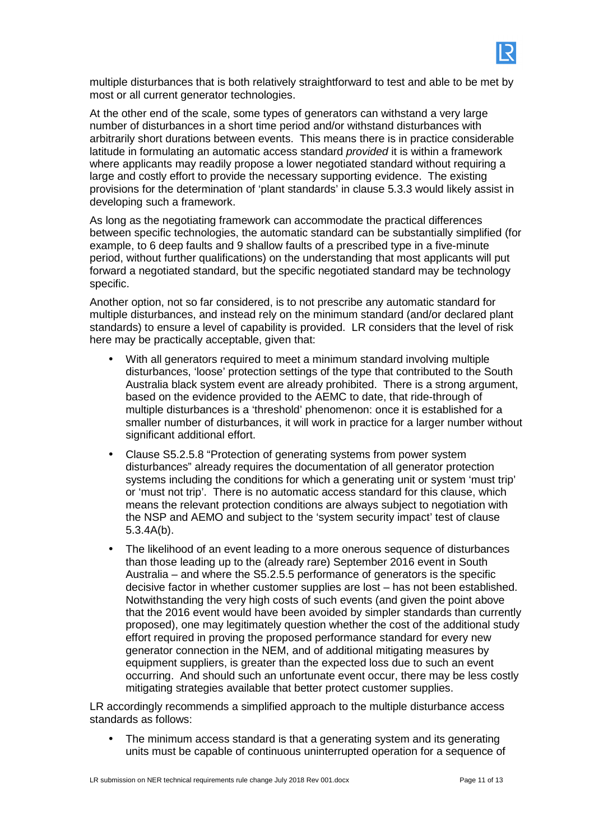

multiple disturbances that is both relatively straightforward to test and able to be met by most or all current generator technologies.

At the other end of the scale, some types of generators can withstand a very large number of disturbances in a short time period and/or withstand disturbances with arbitrarily short durations between events. This means there is in practice considerable latitude in formulating an automatic access standard provided it is within a framework where applicants may readily propose a lower negotiated standard without requiring a large and costly effort to provide the necessary supporting evidence. The existing provisions for the determination of 'plant standards' in clause 5.3.3 would likely assist in developing such a framework.

As long as the negotiating framework can accommodate the practical differences between specific technologies, the automatic standard can be substantially simplified (for example, to 6 deep faults and 9 shallow faults of a prescribed type in a five-minute period, without further qualifications) on the understanding that most applicants will put forward a negotiated standard, but the specific negotiated standard may be technology specific.

Another option, not so far considered, is to not prescribe any automatic standard for multiple disturbances, and instead rely on the minimum standard (and/or declared plant standards) to ensure a level of capability is provided. LR considers that the level of risk here may be practically acceptable, given that:

- With all generators required to meet a minimum standard involving multiple disturbances, 'loose' protection settings of the type that contributed to the South Australia black system event are already prohibited. There is a strong argument, based on the evidence provided to the AEMC to date, that ride-through of multiple disturbances is a 'threshold' phenomenon: once it is established for a smaller number of disturbances, it will work in practice for a larger number without significant additional effort.
- Clause S5.2.5.8 "Protection of generating systems from power system disturbances" already requires the documentation of all generator protection systems including the conditions for which a generating unit or system 'must trip' or 'must not trip'. There is no automatic access standard for this clause, which means the relevant protection conditions are always subject to negotiation with the NSP and AEMO and subject to the 'system security impact' test of clause 5.3.4A(b).
- The likelihood of an event leading to a more onerous sequence of disturbances than those leading up to the (already rare) September 2016 event in South Australia – and where the S5.2.5.5 performance of generators is the specific decisive factor in whether customer supplies are lost – has not been established. Notwithstanding the very high costs of such events (and given the point above that the 2016 event would have been avoided by simpler standards than currently proposed), one may legitimately question whether the cost of the additional study effort required in proving the proposed performance standard for every new generator connection in the NEM, and of additional mitigating measures by equipment suppliers, is greater than the expected loss due to such an event occurring. And should such an unfortunate event occur, there may be less costly mitigating strategies available that better protect customer supplies.

LR accordingly recommends a simplified approach to the multiple disturbance access standards as follows:

• The minimum access standard is that a generating system and its generating units must be capable of continuous uninterrupted operation for a sequence of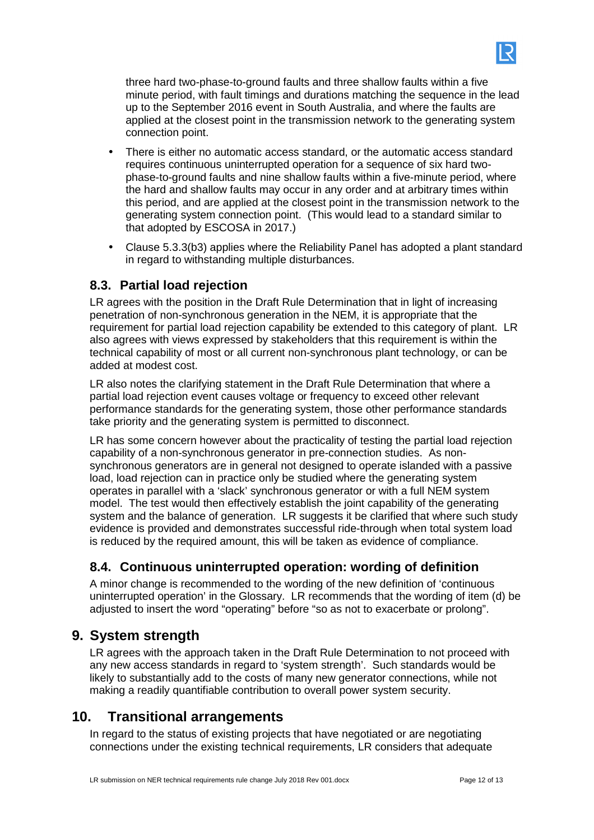

- There is either no automatic access standard, or the automatic access standard requires continuous uninterrupted operation for a sequence of six hard twophase-to-ground faults and nine shallow faults within a five-minute period, where the hard and shallow faults may occur in any order and at arbitrary times within this period, and are applied at the closest point in the transmission network to the generating system connection point. (This would lead to a standard similar to that adopted by ESCOSA in 2017.)
- Clause 5.3.3(b3) applies where the Reliability Panel has adopted a plant standard in regard to withstanding multiple disturbances.

#### **8.3. Partial load rejection**

LR agrees with the position in the Draft Rule Determination that in light of increasing penetration of non-synchronous generation in the NEM, it is appropriate that the requirement for partial load rejection capability be extended to this category of plant. LR also agrees with views expressed by stakeholders that this requirement is within the technical capability of most or all current non-synchronous plant technology, or can be added at modest cost.

LR also notes the clarifying statement in the Draft Rule Determination that where a partial load rejection event causes voltage or frequency to exceed other relevant performance standards for the generating system, those other performance standards take priority and the generating system is permitted to disconnect.

LR has some concern however about the practicality of testing the partial load rejection capability of a non-synchronous generator in pre-connection studies. As nonsynchronous generators are in general not designed to operate islanded with a passive load, load rejection can in practice only be studied where the generating system operates in parallel with a 'slack' synchronous generator or with a full NEM system model. The test would then effectively establish the joint capability of the generating system and the balance of generation. LR suggests it be clarified that where such study evidence is provided and demonstrates successful ride-through when total system load is reduced by the required amount, this will be taken as evidence of compliance.

## **8.4. Continuous uninterrupted operation: wording of definition**

A minor change is recommended to the wording of the new definition of 'continuous uninterrupted operation' in the Glossary. LR recommends that the wording of item (d) be adjusted to insert the word "operating" before "so as not to exacerbate or prolong".

## **9. System strength**

LR agrees with the approach taken in the Draft Rule Determination to not proceed with any new access standards in regard to 'system strength'. Such standards would be likely to substantially add to the costs of many new generator connections, while not making a readily quantifiable contribution to overall power system security.

# **10. Transitional arrangements**

In regard to the status of existing projects that have negotiated or are negotiating connections under the existing technical requirements, LR considers that adequate